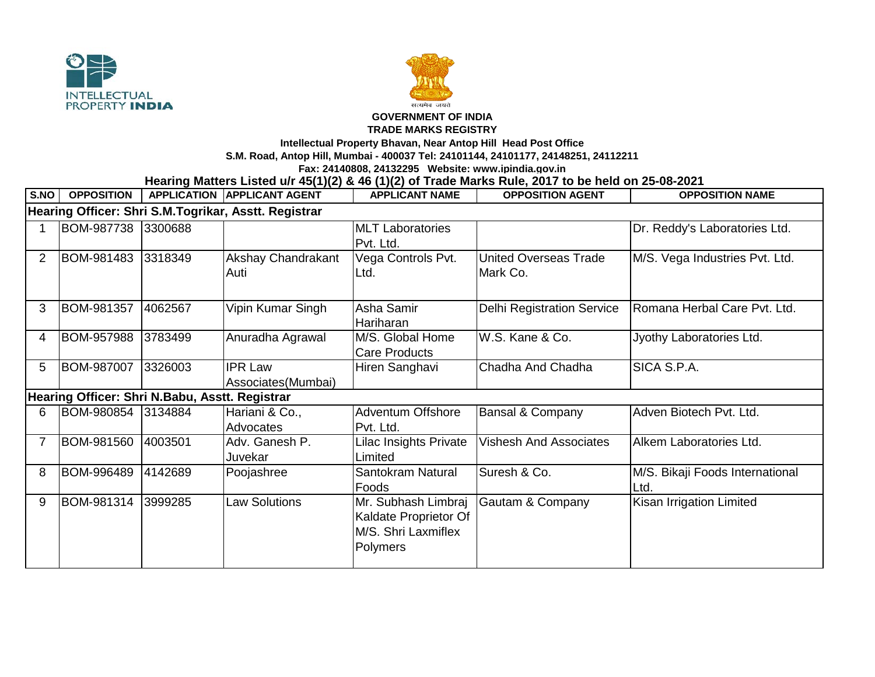



## **GOVERNMENT OF INDIA**

## **TRADE MARKS REGISTRY**

**Intellectual Property Bhavan, Near Antop Hill Head Post Office**

**S.M. Road, Antop Hill, Mumbai - 400037 Tel: 24101144, 24101177, 24148251, 24112211**

**Fax: 24140808, 24132295 Website: www.ipindia.gov.in**

**Hearing Matters Listed u/r 45(1)(2) & 46 (1)(2) of Trade Marks Rule, 2017 to be held on 25-08-2021** 

| S.NO                                                 | <b>OPPOSITION</b>                              |         | <b>APPLICATION APPLICANT AGENT</b>    | <b>APPLICANT NAME</b>                                                           | <b>OPPOSITION AGENT</b>                  | <b>OPPOSITION NAME</b>                  |  |  |  |  |  |
|------------------------------------------------------|------------------------------------------------|---------|---------------------------------------|---------------------------------------------------------------------------------|------------------------------------------|-----------------------------------------|--|--|--|--|--|
| Hearing Officer: Shri S.M.Togrikar, Asstt. Registrar |                                                |         |                                       |                                                                                 |                                          |                                         |  |  |  |  |  |
|                                                      | BOM-987738                                     | 3300688 |                                       | <b>MLT</b> Laboratories<br>Pvt. Ltd.                                            |                                          | Dr. Reddy's Laboratories Ltd.           |  |  |  |  |  |
| $\overline{2}$                                       | BOM-981483                                     | 3318349 | Akshay Chandrakant<br>Auti            | Vega Controls Pvt.<br>Ltd.                                                      | <b>United Overseas Trade</b><br>Mark Co. | M/S. Vega Industries Pvt. Ltd.          |  |  |  |  |  |
| 3                                                    | BOM-981357                                     | 4062567 | Vipin Kumar Singh                     | Asha Samir<br>Hariharan                                                         | <b>Delhi Registration Service</b>        | Romana Herbal Care Pvt. Ltd.            |  |  |  |  |  |
| 4                                                    | BOM-957988                                     | 3783499 | Anuradha Agrawal                      | M/S. Global Home<br><b>Care Products</b>                                        | W.S. Kane & Co.                          | Jyothy Laboratories Ltd.                |  |  |  |  |  |
| 5                                                    | BOM-987007                                     | 3326003 | <b>IPR Law</b><br>Associates (Mumbai) | Hiren Sanghavi                                                                  | Chadha And Chadha                        | SICA S.P.A.                             |  |  |  |  |  |
|                                                      | Hearing Officer: Shri N.Babu, Asstt. Registrar |         |                                       |                                                                                 |                                          |                                         |  |  |  |  |  |
| 6                                                    | BOM-980854                                     | 3134884 | Hariani & Co.,<br>Advocates           | <b>Adventum Offshore</b><br>Pvt. Ltd.                                           | <b>Bansal &amp; Company</b>              | Adven Biotech Pvt. Ltd.                 |  |  |  |  |  |
| $\overline{7}$                                       | BOM-981560                                     | 4003501 | Adv. Ganesh P.<br>Juvekar             | Lilac Insights Private<br>Limited                                               | <b>Vishesh And Associates</b>            | Alkem Laboratories Ltd.                 |  |  |  |  |  |
| 8                                                    | BOM-996489                                     | 4142689 | Poojashree                            | Santokram Natural<br>Foods                                                      | Suresh & Co.                             | M/S. Bikaji Foods International<br>Ltd. |  |  |  |  |  |
| 9                                                    | BOM-981314                                     | 3999285 | <b>Law Solutions</b>                  | Mr. Subhash Limbraj<br>Kaldate Proprietor Of<br>M/S. Shri Laxmiflex<br>Polymers | Gautam & Company                         | Kisan Irrigation Limited                |  |  |  |  |  |